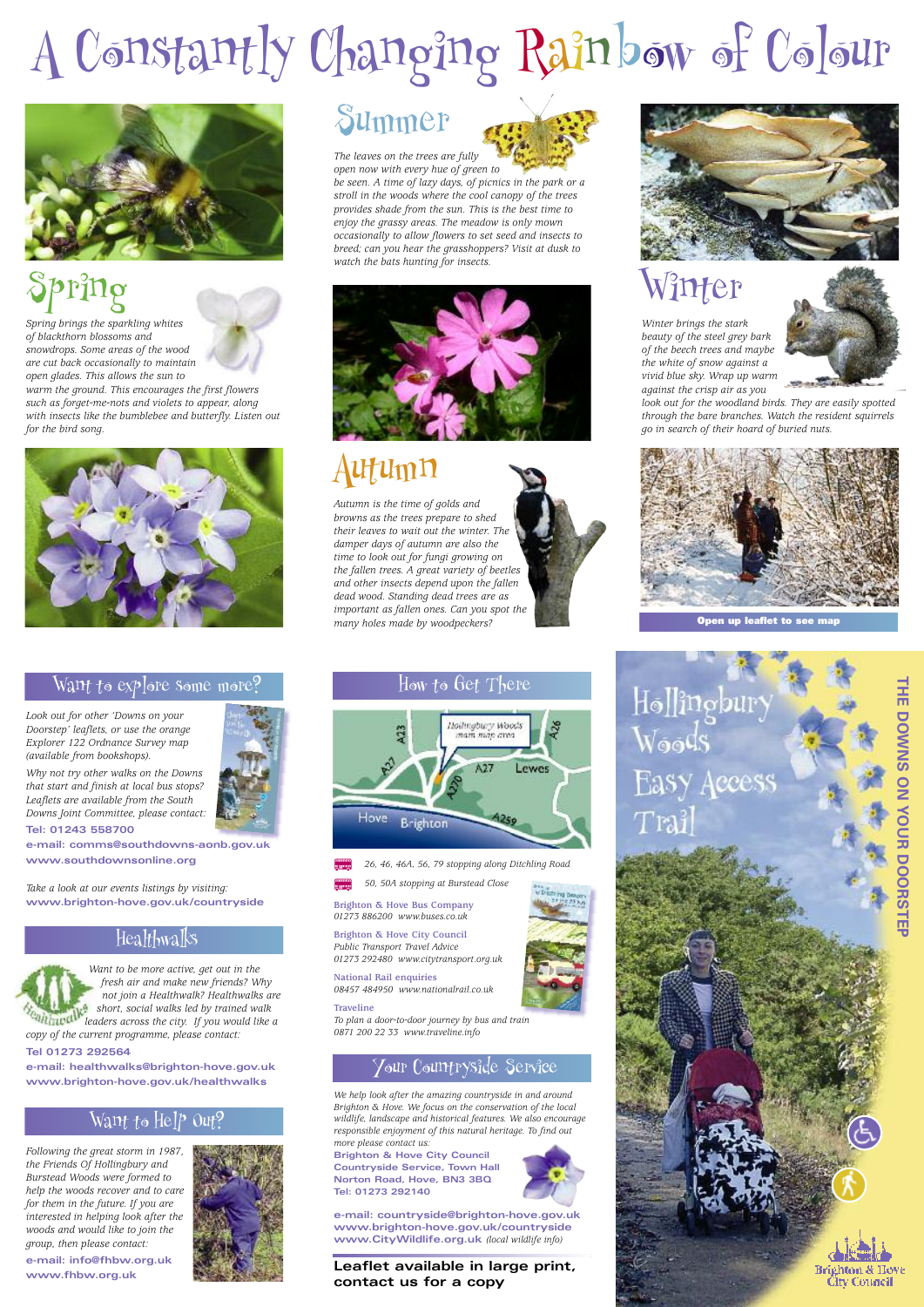# Summer



*The leaves on the trees are fully open now with every hue of green to*

*be seen. A time of lazy days, of picnics in the park or a stroll in the woods where the cool canopy of the trees provides shade from the sun. This is the best time to enjoy the grassy areas. The meadow is only mown occasionally to allow flowers to set seed and insects to breed; can you hear the grasshoppers? Visit at dusk to watch the bats hunting for insects.*



## Autumn

*Autumn is the time of golds and browns as the trees prepare to shed their leaves to wait out the winter. The damper days of autumn are also the time to look out for fungi growing on the fallen trees. A great variety of beetles and other insects depend upon the fallen dead wood. Standing dead trees are as important as fallen ones. Can you spot the many holes made by woodpeckers?*



### Healthwalks



### Want to Help Out?

*Look out for other 'Downs on your Doorstep' leaflets, or use the orange Explorer 122 Ordnance Survey map (available from bookshops).*

*Why not try other walks on the Downs that start and finish at local bus stops? Leaflets are available from the South Downs Joint Committee, please contact:*

**Tel: 01243 558700**

**e-mail: comms@southdowns-aonb.gov.uk www.southdownsonline.org**

*Take a look at our events listings by visiting:* **www.brighton-hove.gov.uk/countryside**

> *Want to be more active, get out in the fresh air and make new friends? Why*

*not join a Healthwalk? Healthwalks are short, social walks led by trained walk leaders across the city. If you would like a copy of the current programme, please contact:* **Tel 01273 292564**

**e-mail: healthwalks@brighton-hove.gov.uk www.brighton-hove.gov.uk/healthwalks**

*Following the great storm in 1987, the Friends Of Hollingbury and Burstead Woods were formed to help the woods recover and to care for them in the future. If you are interested in helping look after the woods and would like to join the group, then please contact:* **e-mail: info@fhbw.org.uk www.fhbw.org.uk**



**T H E D O W N** <u>(၇</u> **O N Y O U R D O O R** <u>(၇</u> **T E** <u>प</u>



**Open up leaflet to see map**

Hollingbury **Easy Access** Trai

# Spring

*Spring brings the sparkling whites of blackthorn blossoms and snowdrops. Some areas of the wood are cut back occasionally to maintain open glades. This allows the sun to*

*warm the ground. This encourages the first flowers such as forget-me-nots and violets to appear, along with insects like the bumblebee and butterfly. Listen out for the bird song.*



### Wan $t$  to explore some more?

# Winter

*Winter brings the stark beauty of the steel grey bark of the beech trees and maybe the white of snow against a vivid blue sky. Wrap up warm against the crisp air as you*



*look out for the woodland birds. They are easily spotted through the bare branches. Watch the resident squirrels go in search of their hoard of buried nuts.*



How to Get There



B *26, 46, 46A, 56, 79 stopping along Ditchling Road*

B *50, 50A stopping at Burstead Close*

**Brighton & Hove Bus Company** *01273 886200 www.buses.co.uk*

**Brighton & Hove City Council** *Public Transport Travel Advice 01273 292480 www.citytransport.org.uk*

**National Rail enquiries**





*08457 484950 www.nationalrail.co.uk*

### **Traveline**

*To plan a door-to-door journey by bus and train 0871 200 22 33 www.traveline.info*

# A Constantly Changing Rainbow of Colour



*We help look after the amazing countryside in and around Brighton & Hove. We focus on the conservation of the local wildlife, landscape and historical features. We also encourage responsible enjoyment of this natural heritage. To find out more please contact us:*

**Brighton & Hove City Council Countryside Service, Town Hall Norton Road, Hove, BN3 3BQ Tel: 01273 292140**



### Your Countryside Service

**Leaflet available in large print, contact us for a copy**